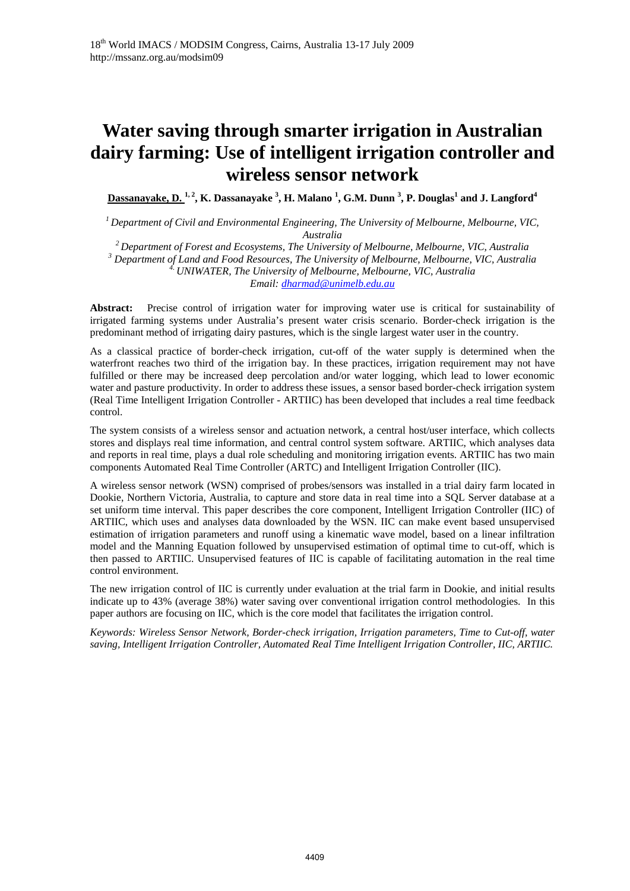# **Water saving through smarter irrigation in Australian dairy farming: Use of intelligent irrigation controller and wireless sensor network**

**Dassanayake, D. 1, 2, K. Dassanayake 3 , H. Malano <sup>1</sup> , G.M. Dunn <sup>3</sup> , P. Douglas<sup>1</sup> and J. Langford<sup>4</sup>**

*1 Department of Civil and Environmental Engineering, The University of Melbourne, Melbourne, VIC, Australia 2 Department of Forest and Ecosystems, The University of Melbourne, Melbourne, VIC, Australia <sup>3</sup>*

 *Department of Land and Food Resources, The University of Melbourne, Melbourne, VIC, Australia 4. UNIWATER, The University of Melbourne, Melbourne, VIC, Australia*

*Email: dharmad@unimelb.edu.au* 

**Abstract:** Precise control of irrigation water for improving water use is critical for sustainability of irrigated farming systems under Australia's present water crisis scenario. Border-check irrigation is the predominant method of irrigating dairy pastures, which is the single largest water user in the country.

As a classical practice of border-check irrigation, cut-off of the water supply is determined when the waterfront reaches two third of the irrigation bay. In these practices, irrigation requirement may not have fulfilled or there may be increased deep percolation and/or water logging, which lead to lower economic water and pasture productivity. In order to address these issues, a sensor based border-check irrigation system (Real Time Intelligent Irrigation Controller - ARTIIC) has been developed that includes a real time feedback control.

The system consists of a wireless sensor and actuation network, a central host/user interface, which collects stores and displays real time information, and central control system software. ARTIIC, which analyses data and reports in real time, plays a dual role scheduling and monitoring irrigation events. ARTIIC has two main components Automated Real Time Controller (ARTC) and Intelligent Irrigation Controller (IIC).

A wireless sensor network (WSN) comprised of probes/sensors was installed in a trial dairy farm located in Dookie, Northern Victoria, Australia, to capture and store data in real time into a SQL Server database at a set uniform time interval. This paper describes the core component, Intelligent Irrigation Controller (IIC) of ARTIIC, which uses and analyses data downloaded by the WSN. IIC can make event based unsupervised estimation of irrigation parameters and runoff using a kinematic wave model, based on a linear infiltration model and the Manning Equation followed by unsupervised estimation of optimal time to cut-off, which is then passed to ARTIIC. Unsupervised features of IIC is capable of facilitating automation in the real time control environment.

The new irrigation control of IIC is currently under evaluation at the trial farm in Dookie, and initial results indicate up to 43% (average 38%) water saving over conventional irrigation control methodologies. In this paper authors are focusing on IIC, which is the core model that facilitates the irrigation control.

*Keywords: Wireless Sensor Network, Border-check irrigation, Irrigation parameters, Time to Cut-off, water saving, Intelligent Irrigation Controller, Automated Real Time Intelligent Irrigation Controller, IIC, ARTIIC.*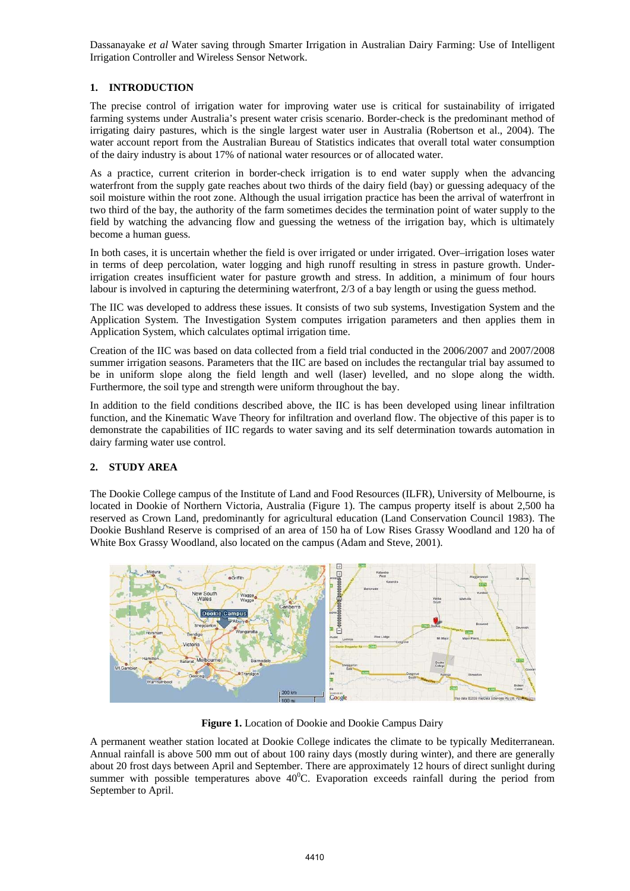# **1. INTRODUCTION**

The precise control of irrigation water for improving water use is critical for sustainability of irrigated farming systems under Australia's present water crisis scenario. Border-check is the predominant method of irrigating dairy pastures, which is the single largest water user in Australia (Robertson et al., 2004). The water account report from the Australian Bureau of Statistics indicates that overall total water consumption of the dairy industry is about 17% of national water resources or of allocated water.

As a practice, current criterion in border-check irrigation is to end water supply when the advancing waterfront from the supply gate reaches about two thirds of the dairy field (bay) or guessing adequacy of the soil moisture within the root zone. Although the usual irrigation practice has been the arrival of waterfront in two third of the bay, the authority of the farm sometimes decides the termination point of water supply to the field by watching the advancing flow and guessing the wetness of the irrigation bay, which is ultimately become a human guess.

In both cases, it is uncertain whether the field is over irrigated or under irrigated. Over–irrigation loses water in terms of deep percolation, water logging and high runoff resulting in stress in pasture growth. Underirrigation creates insufficient water for pasture growth and stress. In addition, a minimum of four hours labour is involved in capturing the determining waterfront, 2/3 of a bay length or using the guess method.

The IIC was developed to address these issues. It consists of two sub systems, Investigation System and the Application System. The Investigation System computes irrigation parameters and then applies them in Application System, which calculates optimal irrigation time.

Creation of the IIC was based on data collected from a field trial conducted in the 2006/2007 and 2007/2008 summer irrigation seasons. Parameters that the IIC are based on includes the rectangular trial bay assumed to be in uniform slope along the field length and well (laser) levelled, and no slope along the width. Furthermore, the soil type and strength were uniform throughout the bay.

In addition to the field conditions described above, the IIC is has been developed using linear infiltration function, and the Kinematic Wave Theory for infiltration and overland flow. The objective of this paper is to demonstrate the capabilities of IIC regards to water saving and its self determination towards automation in dairy farming water use control.

## **2. STUDY AREA**

The Dookie College campus of the Institute of Land and Food Resources (ILFR), University of Melbourne, is located in Dookie of Northern Victoria, Australia (Figure 1). The campus property itself is about 2,500 ha reserved as Crown Land, predominantly for agricultural education (Land Conservation Council 1983). The Dookie Bushland Reserve is comprised of an area of 150 ha of Low Rises Grassy Woodland and 120 ha of White Box Grassy Woodland, also located on the campus (Adam and Steve, 2001).



**Figure 1.** Location of Dookie and Dookie Campus Dairy

A permanent weather station located at Dookie College indicates the climate to be typically Mediterranean. Annual rainfall is above 500 mm out of about 100 rainy days (mostly during winter), and there are generally about 20 frost days between April and September. There are approximately 12 hours of direct sunlight during summer with possible temperatures above  $40^{\circ}$ C. Evaporation exceeds rainfall during the period from September to April.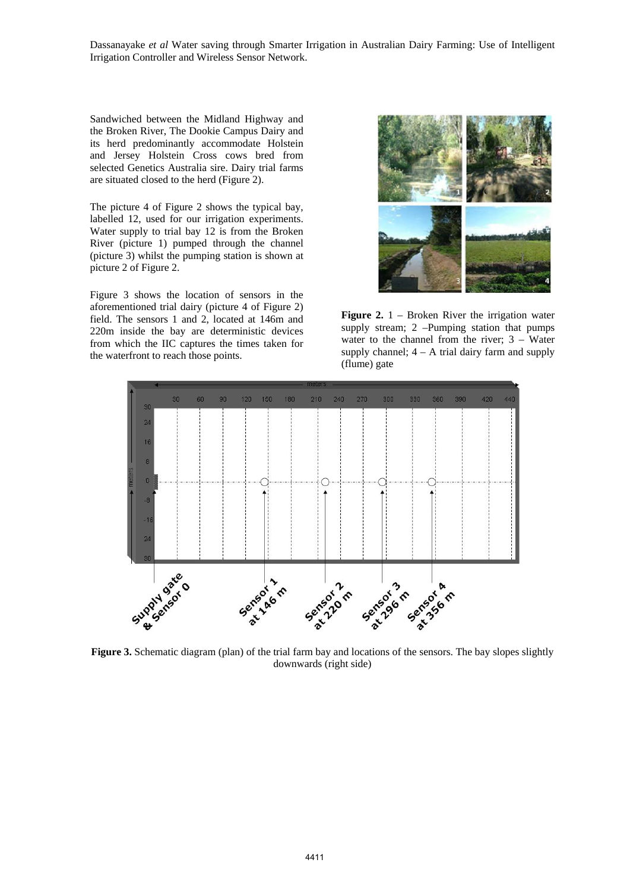Sandwiched between the Midland Highway and the Broken River, The Dookie Campus Dairy and its herd predominantly accommodate Holstein and Jersey Holstein Cross cows bred from selected Genetics Australia sire. Dairy trial farms are situated closed to the herd (Figure 2).

The picture 4 of Figure 2 shows the typical bay, labelled 12, used for our irrigation experiments. Water supply to trial bay 12 is from the Broken River (picture 1) pumped through the channel (picture 3) whilst the pumping station is shown at picture 2 of Figure 2.

Figure 3 shows the location of sensors in the aforementioned trial dairy (picture 4 of Figure 2) field. The sensors 1 and 2, located at 146m and 220m inside the bay are deterministic devices from which the IIC captures the times taken for the waterfront to reach those points.



**Figure 2.** 1 – Broken River the irrigation water supply stream; 2 –Pumping station that pumps water to the channel from the river; 3 – Water supply channel;  $4 - A$  trial dairy farm and supply (flume) gate



Figure 3. Schematic diagram (plan) of the trial farm bay and locations of the sensors. The bay slopes slightly downwards (right side)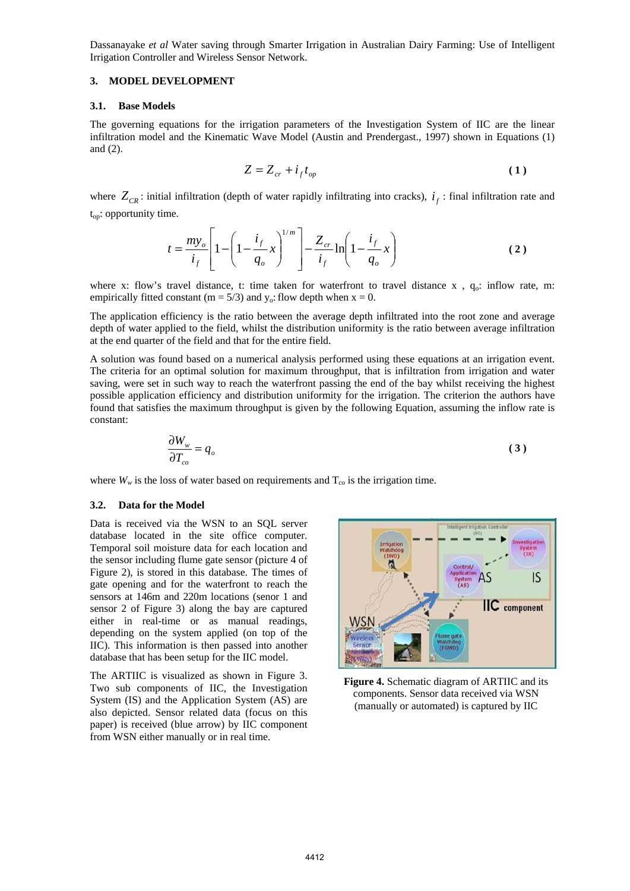#### **3. MODEL DEVELOPMENT**

#### **3.1. Base Models**

The governing equations for the irrigation parameters of the Investigation System of IIC are the linear infiltration model and the Kinematic Wave Model (Austin and Prendergast., 1997) shown in Equations (1) and (2).

$$
Z = Z_{cr} + i_f t_{op} \tag{1}
$$

where  $Z_{CR}$ : initial infiltration (depth of water rapidly infiltrating into cracks),  $i_f$ : final infiltration rate and  $t_{op}$ : opportunity time.

$$
t = \frac{my_o}{i_f} \left[ 1 - \left( 1 - \frac{i_f}{q_o} x \right)^{1/m} \right] - \frac{Z_{cr}}{i_f} \ln \left( 1 - \frac{i_f}{q_o} x \right)
$$
 (2)

where x: flow's travel distance, t: time taken for waterfront to travel distance x,  $q_o$ : inflow rate, m: empirically fitted constant (m =  $5/3$ ) and y<sub>o</sub>: flow depth when x = 0.

The application efficiency is the ratio between the average depth infiltrated into the root zone and average depth of water applied to the field, whilst the distribution uniformity is the ratio between average infiltration at the end quarter of the field and that for the entire field.

A solution was found based on a numerical analysis performed using these equations at an irrigation event. The criteria for an optimal solution for maximum throughput, that is infiltration from irrigation and water saving, were set in such way to reach the waterfront passing the end of the bay whilst receiving the highest possible application efficiency and distribution uniformity for the irrigation. The criterion the authors have found that satisfies the maximum throughput is given by the following Equation, assuming the inflow rate is constant:

$$
\frac{\partial W_{w}}{\partial T_{co}} = q_o \tag{3}
$$

where  $W_w$  is the loss of water based on requirements and  $T_{\rm co}$  is the irrigation time.

#### **3.2. Data for the Model**

Data is received via the WSN to an SQL server database located in the site office computer. Temporal soil moisture data for each location and the sensor including flume gate sensor (picture 4 of Figure 2), is stored in this database. The times of gate opening and for the waterfront to reach the sensors at 146m and 220m locations (senor 1 and sensor 2 of Figure 3) along the bay are captured either in real-time or as manual readings, depending on the system applied (on top of the IIC). This information is then passed into another database that has been setup for the IIC model.

The ARTIIC is visualized as shown in Figure 3. Two sub components of IIC, the Investigation System (IS) and the Application System (AS) are also depicted. Sensor related data (focus on this paper) is received (blue arrow) by IIC component from WSN either manually or in real time.



**Figure 4.** Schematic diagram of ARTIIC and its components. Sensor data received via WSN (manually or automated) is captured by IIC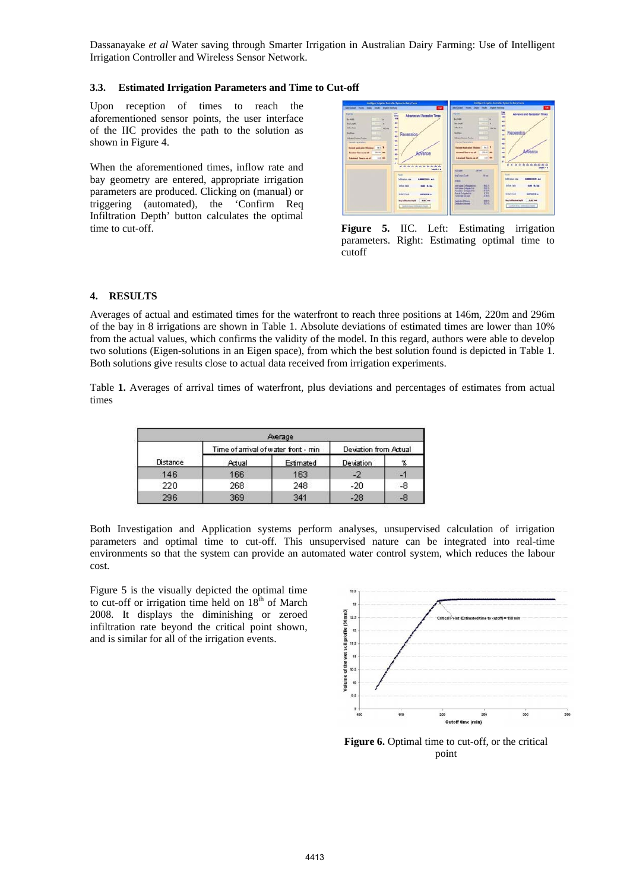## **3.3. Estimated Irrigation Parameters and Time to Cut-off**

Upon reception of times to reach the aforementioned sensor points, the user interface of the IIC provides the path to the solution as shown in Figure 4.

When the aforementioned times, inflow rate and bay geometry are entered, appropriate irrigation parameters are produced. Clicking on (manual) or triggering (automated), the 'Confirm Req Infiltration Depth' button calculates the optimal time to cut-off. **Figure 5.** IIC. Left: Estimating irrigation



parameters. Right: Estimating optimal time to cutoff

## **4. RESULTS**

Averages of actual and estimated times for the waterfront to reach three positions at 146m, 220m and 296m of the bay in 8 irrigations are shown in Table 1. Absolute deviations of estimated times are lower than 10% from the actual values, which confirms the validity of the model. In this regard, authors were able to develop two solutions (Eigen-solutions in an Eigen space), from which the best solution found is depicted in Table 1. Both solutions give results close to actual data received from irrigation experiments.

Table **1.** Averages of arrival times of waterfront, plus deviations and percentages of estimates from actual times

| Average  |                                      |           |                       |    |  |  |
|----------|--------------------------------------|-----------|-----------------------|----|--|--|
|          | Time of arrival of water front - min |           | Deviation from Actual |    |  |  |
| Distance | Actual                               | Estimated | <b>Deviation</b>      |    |  |  |
| 146      | 166                                  | 163       |                       | ÷  |  |  |
| 220      | 268                                  | 248       | -20                   | -8 |  |  |
| 296      | 369                                  | 341       |                       |    |  |  |

Both Investigation and Application systems perform analyses, unsupervised calculation of irrigation parameters and optimal time to cut-off. This unsupervised nature can be integrated into real-time environments so that the system can provide an automated water control system, which reduces the labour cost.

Figure 5 is the visually depicted the optimal time to cut-off or irrigation time held on  $18<sup>th</sup>$  of March 2008. It displays the diminishing or zeroed infiltration rate beyond the critical point shown, and is similar for all of the irrigation events.



Figure 6. Optimal time to cut-off, or the critical point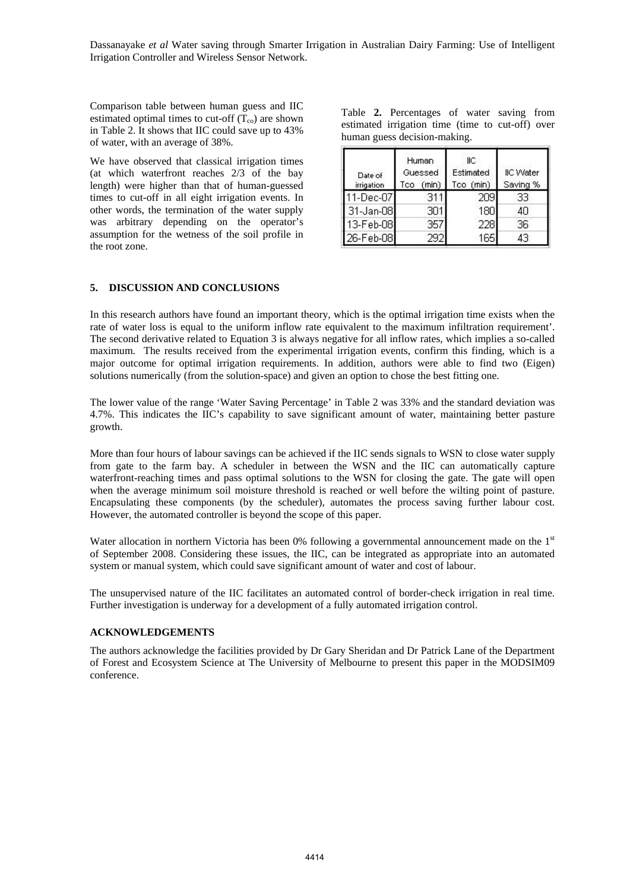Comparison table between human guess and IIC estimated optimal times to cut-off  $(T_{\rm co})$  are shown in Table 2. It shows that IIC could save up to 43% of water, with an average of 38%.

We have observed that classical irrigation times (at which waterfront reaches 2/3 of the bay length) were higher than that of human-guessed times to cut-off in all eight irrigation events. In other words, the termination of the water supply was arbitrary depending on the operator's assumption for the wetness of the soil profile in the root zone.

Table **2.** Percentages of water saving from estimated irrigation time (time to cut-off) over human guess decision-making.

| Date of<br>irrigation | Human<br>Guessed<br>(min)<br>Tco. | llС<br>Estimated<br>Tco (min) | <b>IIC Water</b><br>Saving % |
|-----------------------|-----------------------------------|-------------------------------|------------------------------|
| 11-Dec-07             | 311                               | 209                           | 33                           |
| 31-Jan-08             | 301                               | 180                           | 40                           |
| 13-Feb-08             | 357                               | 228                           | 36                           |
| 26-Feb-08             | 292                               | 165                           | 43                           |

## **5. DISCUSSION AND CONCLUSIONS**

In this research authors have found an important theory, which is the optimal irrigation time exists when the rate of water loss is equal to the uniform inflow rate equivalent to the maximum infiltration requirement'. The second derivative related to Equation 3 is always negative for all inflow rates, which implies a so-called maximum. The results received from the experimental irrigation events, confirm this finding, which is a major outcome for optimal irrigation requirements. In addition, authors were able to find two (Eigen) solutions numerically (from the solution-space) and given an option to chose the best fitting one.

The lower value of the range 'Water Saving Percentage' in Table 2 was 33% and the standard deviation was 4.7%. This indicates the IIC's capability to save significant amount of water, maintaining better pasture growth.

More than four hours of labour savings can be achieved if the IIC sends signals to WSN to close water supply from gate to the farm bay. A scheduler in between the WSN and the IIC can automatically capture waterfront-reaching times and pass optimal solutions to the WSN for closing the gate. The gate will open when the average minimum soil moisture threshold is reached or well before the wilting point of pasture. Encapsulating these components (by the scheduler), automates the process saving further labour cost. However, the automated controller is beyond the scope of this paper.

Water allocation in northern Victoria has been 0% following a governmental announcement made on the 1<sup>st</sup> of September 2008. Considering these issues, the IIC, can be integrated as appropriate into an automated system or manual system, which could save significant amount of water and cost of labour.

The unsupervised nature of the IIC facilitates an automated control of border-check irrigation in real time. Further investigation is underway for a development of a fully automated irrigation control.

#### **ACKNOWLEDGEMENTS**

The authors acknowledge the facilities provided by Dr Gary Sheridan and Dr Patrick Lane of the Department of Forest and Ecosystem Science at The University of Melbourne to present this paper in the MODSIM09 conference.